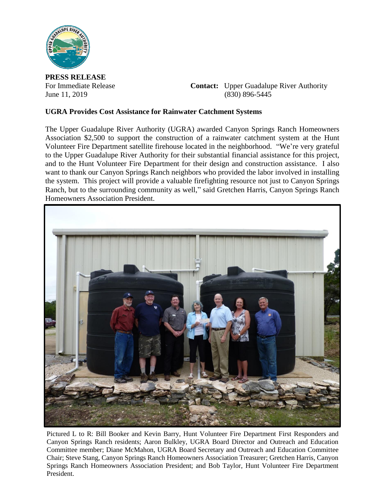

**PRESS RELEASE**

For Immediate Release **Contact:** Upper Guadalupe River Authority June 11, 2019 (830) 896-5445

## **UGRA Provides Cost Assistance for Rainwater Catchment Systems**

The Upper Guadalupe River Authority (UGRA) awarded Canyon Springs Ranch Homeowners Association \$2,500 to support the construction of a rainwater catchment system at the Hunt Volunteer Fire Department satellite firehouse located in the neighborhood. "We're very grateful to the Upper Guadalupe River Authority for their substantial financial assistance for this project, and to the Hunt Volunteer Fire Department for their design and construction assistance. I also want to thank our Canyon Springs Ranch neighbors who provided the labor involved in installing the system. This project will provide a valuable firefighting resource not just to Canyon Springs Ranch, but to the surrounding community as well," said Gretchen Harris, Canyon Springs Ranch Homeowners Association President.



Pictured L to R: Bill Booker and Kevin Barry, Hunt Volunteer Fire Department First Responders and Canyon Springs Ranch residents; Aaron Bulkley, UGRA Board Director and Outreach and Education Committee member; Diane McMahon, UGRA Board Secretary and Outreach and Education Committee Chair; Steve Stang, Canyon Springs Ranch Homeowners Association Treasurer; Gretchen Harris, Canyon Springs Ranch Homeowners Association President; and Bob Taylor, Hunt Volunteer Fire Department President.